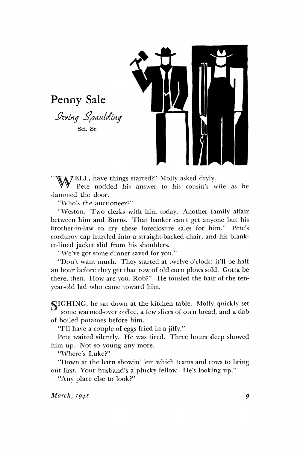

<sup>r</sup>ELL, have things started?" Molly asked dryly.

Pete nodded his answer to his cousin's wife as he slammed the door.

''Who's the auctioneer?"

"Weston. Two clerks with him today. Another family affair between him and Burns. That banker can't get anyone but his brother-in-law to cry these foreclosure sales for him." Pete's corduroy cap hurtled into a straight-backed chair, and his blanket-lined jacket slid from his shoulders.

"We've got some dinner saved for you."

"Don't want much. They started at twelve o'clock; it'll be half an hour before they get that row of old corn plows sold. Gotta be there, then. How are you, Rob?" He tousled the hair of the tenvear-old lad who came toward him.

(SIGHING, he sat down at the kitchen table. Molly quickly set some warmed-over coffee, a few slices of corn bread, and a dab of boiled potatoes before him.

"I'll have a couple of eggs fried in a jiffy."

Pete waited silently. He was tired. Three hours sleep showed him up. Not so young any more.

"Where's Luke?"

"Down at the barn showin' 'em which teams and cows to bring out first. Your husband's a plucky fellow. He's looking up. "

"Any place else to look?"

*March, 1941* **<b>9 9**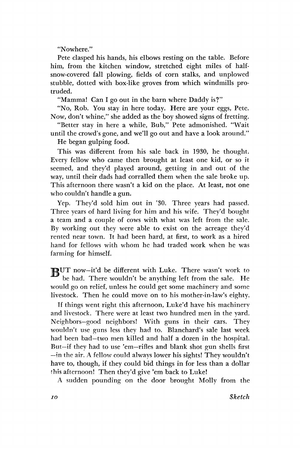"Nowhere."

Pete clasped his hands, his elbows resting on the table. Before him, from the kitchen window, stretched eight miles of halfsnow-covered fall plowing, fields of corn stalks, and unplowed stubble, dotted with box-like groves from which windmills protruded.

"Mamma! Can I go out in the barn where Daddy is?"

"No, Rob. You stay in here today. Here are your eggs, Pete. Now, don't whine," she added as the boy showed signs of fretting.

"Better stay in here a while, Bub," Pete admonished. "Wait until the crowd's gone, and we'll go out and have a look around."

He began gulping food.

This was different from his sale back in 1930, he thought. Every fellow who came then brought at least one kid, or so it seemed, and they'd played around, getting in and out of the way, until their dads had corralled them when the sale broke up. This afternoon there wasn't a kid on the place. At least, not one who couldn't handle a gun.

Yep. They'd sold him out in '30. Three years had passed. Three years of hard living for him and his wife. They'd bought a team and a couple of cows with what was left from the sale. By working out they were able to exist on the acreage they'd rented near town. It had been hard, at first, to work as a hired hand for fellows with whom he had traded work when he was farming for himself.

UT now—it'd be different with Luke. There wasn't work to be had. There wouldn't be anything left from the sale. He would go on relief, unless he could get some machinery and some livestock. Then he could move on to his mother-in-law's eighty.

If things went right this afternoon, Luke'd have his machinery and livestock. There were at least two hundred men in the yard. Neighbors—good neighbors! With guns in their cars. They wouldn't use guns less they had to. Blanchard's sale last week had been bad—two men killed and half a dozen in the hospital. But—if they had to use 'em—rifles and blank shot gun shells first —in the air. A fellow could always lower his sights! They wouldn't have to, though, if they could bid things in for less than a dollar this afternoon! Then they'd give 'em back to Luke!

A sudden pounding on the door brought Molly from the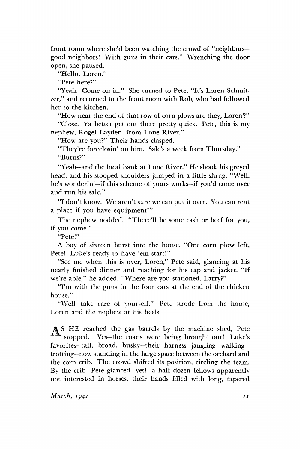front room where she'd been watching the crowd of "neighborsgood neighbors! With guns in their cars." Wrenching the door open, she paused.

"Hello, Loren."

"Pete here?"

"Yeah. Come on in." She turned to Pete, "It's Loren Schmitzer," and returned to the front room with Rob, who had followed her to the kitchen.

"How near the end of that row of corn plows are they, Loren?"

"Close. Ya better get out there pretty quick. Pete, this is my nephew, Rogel Layden, from Lone River."

"How are you?" Their hands clasped.

"They're foreclosin' on him. Sale's a week from Thursday." "Burns?"

"Yeah—and the local bank at Lone River." He shook his greyed head, and his stooped shoulders jumped in a little shrug. "Well, he's wonderin'—if this scheme of yours works—if you'd come over and run his sale."

"I don't know. We aren't sure we can put it over. You can rent a place if you have equipment?"

The nephew nodded. "There'll be some cash or beef for you, if you come."

"Pete!"

A boy of sixteen burst into the house. "One corn plow left, Pete! Luke's ready to have 'em start!"

"See me when this is over, Loren," Pete said, glancing at his nearly finished dinner and reaching for his cap and jacket. "If we're able," he added. "Where are you stationed, Larry?"

"I'm with the guns in the four cars at the end of the chicken house."

"Well—take care of yourself." Pete strode from the house, Loren and the nephew at his heels.

*A* S HE reached the gas barrels by the machine shed, Pete stopped. Yes—the roans were being brought out! Luke's favorites—tall, broad, husky—their harness jangling—walkingtrotting—now standing in the large space between the orchard and the corn crib. The crowd shifted its position, circling the team. By the crib—Pete glanced—yes!—a half dozen fellows apparently not interested in horses, their hands filled with long, tapered

*March, 1941 11*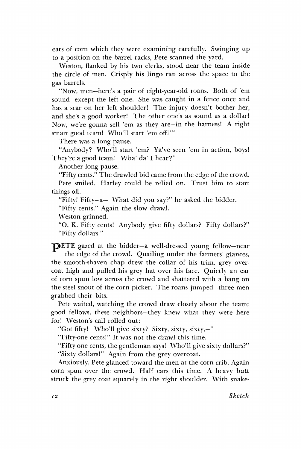ears of corn which they were examining carefully. Swinging up to a position on the barrel racks, Pete scanned the yard.

Weston, flanked by his two clerks, stood near the team inside the circle of men. Crisply his lingo ran across the space to the gas barrels.

"Now, men—here's a pair of eight-year-old roans. Both of 'em sound—except the left one. She was caught in a fence once and has a scar on her left shoulder! The injury doesn't bother her, and she's a good worker! The other one's as sound as a dollar! Now, we're gonna sell 'em as they are—in the harness! A right smart good team! Who'll start 'em off?'"

There was a long pause.

"Anybody? Who'll start 'em? Ya've seen 'em in action, boys! They're a good team! Wha' da' I hear?"

Another long pause.

"Fifty cents." The drawled bid came from the edge of the crowd. Pete smiled. Harley could be relied on. Trust him to start things off.

"Fifty! Fifty—a— What did you say?" he asked the bidder.

"Fifty cents." Again the slow drawl.

Weston grinned.

"O. K. Fifty cents! Anybody give fifty dollars? Fifty dollars?" "Fifty dollars."

"OETE gazed at the bidder—a well-dressed young fellow—near the edge of the crowd. Quailing under the farmers' glances, the smooth-shaven chap drew the collar of his trim, grey overcoat high and pulled his grey hat over his face. Quietly an ear of corn spun low across the crowd and shattered with a bang on the steel snout of the corn picker. The roans jumped—three men grabbed their bits.

Pete waited, watching the crowd draw closely about the team; good fellows, these neighbors—they knew what they were here for! Weston's call rolled out:

"Got fifty! Who'll give sixty? Sixty, sixty, sixty,—"

"Fifty-one cents!" It was not the drawl this time.

"Fifty-one cents, the gentleman says! Who'll give sixty dollars?" "Sixty dollars!" Again from the grey overcoat.

Anxiously, Pete glanced toward the men at the corn crib. Again corn spun over the crowd. Half ears this time. A heavy butt struck the grey coat squarely in the right shoulder. With snake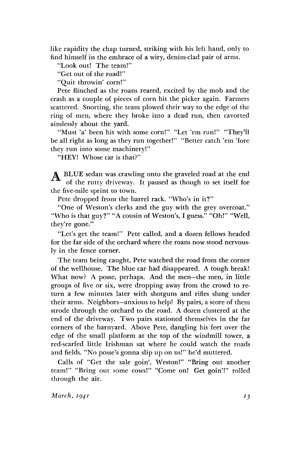like rapidity the chap turned, striking with his left hand, only to find himself in the embrace of a wiry, denim-clad pair of arms.

"Look out! The team!"

"Get out of the road!"

"Quit throwin' corn!"

Pete flinched as the roans reared, excited by the mob and the crash as a couple of pieces of corn hit the picker again. Farmers scattered. Snorting, the team plowed their way to the edge of the ring of men, where they broke into a dead run, then cavorted aimlessly about the yard.

"Must 'a' been hit with some corn!" "Let 'em run!" "They'll be all right as long as they run together!" "Better catch 'em 'fore they run into some machinery!"

"HEY! Whose car is that?"

*A* BLUE sedan was crawling onto the graveled road at the end of the rutty driveway. It paused as though to set itself for the five-mile sprint to town.

Pete dropped from the barrel rack. "Who's in it?"

"One of Weston's clerks and the guy with the grey overcoat." "Who is that guy?" "A cousin of Weston's, I guess." "Oh!" "Well, they're gone."

"Let's get the team!" Pete called, and a dozen fellows headed for the far side of the orchard where the roans now stood nervously in the fence corner.

The team being caught, Pete watched the road from the corner of the wellhouse. The blue car had disappeared. A tough break! What now? A posse, perhaps. And the men—the men, in little groups of five or six, were dropping away from the crowd to return a few minutes later with shotguns and rifles slung under their arms. Neighbors—anxious to help! By pairs, a score of them strode through the orchard to the road. A dozen clustered at the end of the driveway. Two pairs stationed themselves in the far corners of the barnyard. Above Pete, dangling his feet over the edge of the small platform at the top of the windmill tower, a red-scarfed little Irishman sat where he could watch the roads and fields. "No posse's gonna slip up on us!" he'd muttered.

Calls of "Get the sale goin', Weston!" "Bring out another team!" "Bring out some cows!" "Come on! Get goin'!" rolled through the air.

*March, 1941* 

*3*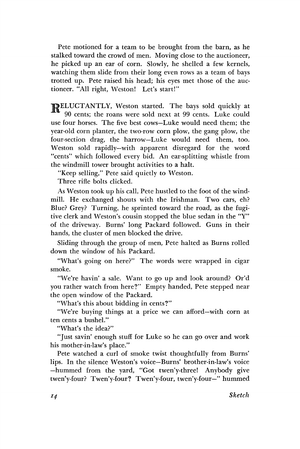Pete motioned for a team to be brought from the barn, as he stalked toward the crowd of men. Moving close to the auctioneer, he picked up an ear of corn. Slowly, he shelled a few kernels, watching them slide from their long even rows as a team of bays trotted up. Pete raised his head; his eyes met those of the auctioneer. "All right, Weston! Let's start!"

TRELUCTANTLY, Weston started. The bays sold quickly at 90 cents; the roans were sold next at 99 cents. Luke could use four horses. The five best cows—Luke would need them; the year-old corn planter, the two-row corn plow, the gang plow, the four-section drag, the harrow—Luke would need them, too. Weston sold rapidly—with apparent disregard for the word "cents" which followed every bid. An ear-splitting whistle from the windmill tower brought activities to a halt.

"Keep selling," Pete said quietly to Weston.

Three rifle bolts clicked.

As Weston took up his call, Pete hustled to the foot of the windmill. He exchanged shouts with the Irishman. Two cars, eh? Blue? Grey? Turning, he sprinted toward the road, as the fugitive clerk and Weston's cousin stopped the blue sedan in the "Y" of the driveway. Burns' long Packard followed. Guns in their hands, the cluster of men blocked the drive.

Sliding through the group of men, Pete halted as Burns rolled down the window of his Packard.

"What's going on here?" The words were wrapped in cigar smoke.

"We're havin' a sale. Want to go up and look around? Or'd you rather watch from here?" Empty handed, Pete stepped near the open window of the Packard.

"What's this about bidding in cents?"

"We're buying things at a price we can afford—with corn at ten cents a bushel."

"What's the idea?"

"Just savin' enough stuff for Luke so he can go over and work his mother-in-law's place."

Pete watched a curl of smoke twist thoughtfully from Burns' lips. In the silence Weston's voice—Burns' brother-in-law's voice —hummed from the yard, "Got twen'y-three! Anybody give twen'y-four? Twen'y-four? Twen'y-four, twen'y-four—" hummed